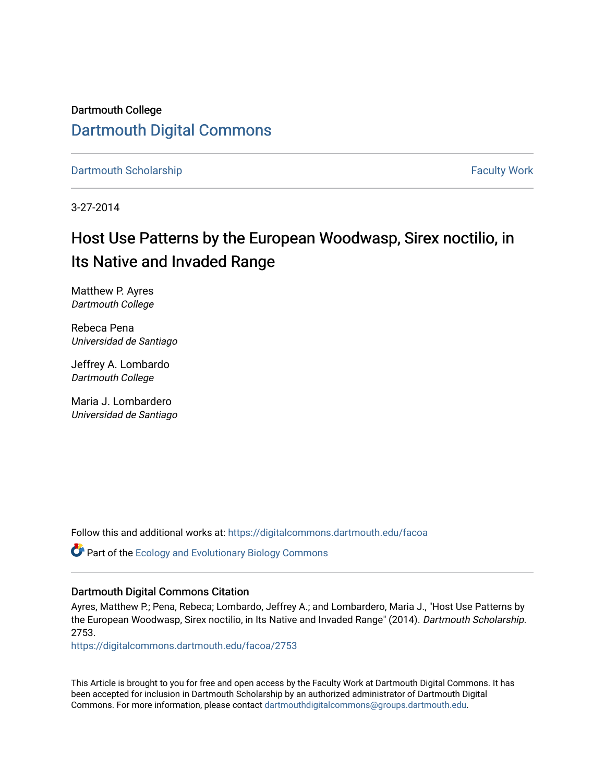Dartmouth College [Dartmouth Digital Commons](https://digitalcommons.dartmouth.edu/) 

[Dartmouth Scholarship](https://digitalcommons.dartmouth.edu/facoa) [Faculty Work](https://digitalcommons.dartmouth.edu/faculty) and The Basic Scholarship Faculty Work Faculty Work

3-27-2014

# Host Use Patterns by the European Woodwasp, Sirex noctilio, in Its Native and Invaded Range

Matthew P. Ayres Dartmouth College

Rebeca Pena Universidad de Santiago

Jeffrey A. Lombardo Dartmouth College

Maria J. Lombardero Universidad de Santiago

Follow this and additional works at: [https://digitalcommons.dartmouth.edu/facoa](https://digitalcommons.dartmouth.edu/facoa?utm_source=digitalcommons.dartmouth.edu%2Ffacoa%2F2753&utm_medium=PDF&utm_campaign=PDFCoverPages)

Part of the [Ecology and Evolutionary Biology Commons](http://network.bepress.com/hgg/discipline/14?utm_source=digitalcommons.dartmouth.edu%2Ffacoa%2F2753&utm_medium=PDF&utm_campaign=PDFCoverPages)

## Dartmouth Digital Commons Citation

Ayres, Matthew P.; Pena, Rebeca; Lombardo, Jeffrey A.; and Lombardero, Maria J., "Host Use Patterns by the European Woodwasp, Sirex noctilio, in Its Native and Invaded Range" (2014). Dartmouth Scholarship. 2753.

[https://digitalcommons.dartmouth.edu/facoa/2753](https://digitalcommons.dartmouth.edu/facoa/2753?utm_source=digitalcommons.dartmouth.edu%2Ffacoa%2F2753&utm_medium=PDF&utm_campaign=PDFCoverPages) 

This Article is brought to you for free and open access by the Faculty Work at Dartmouth Digital Commons. It has been accepted for inclusion in Dartmouth Scholarship by an authorized administrator of Dartmouth Digital Commons. For more information, please contact [dartmouthdigitalcommons@groups.dartmouth.edu](mailto:dartmouthdigitalcommons@groups.dartmouth.edu).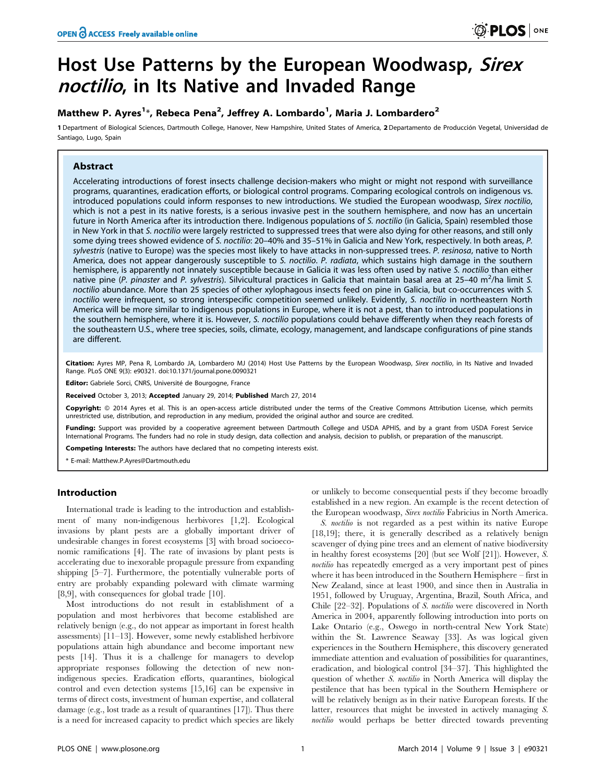# Host Use Patterns by the European Woodwasp, Sirex noctilio, in Its Native and Invaded Range

# Matthew P. Ayres<sup>1\*</sup>, Rebeca Pena<sup>2</sup>, Jeffrey A. Lombardo<sup>1</sup>, Maria J. Lombardero<sup>2</sup>

1 Department of Biological Sciences, Dartmouth College, Hanover, New Hampshire, United States of America, 2 Departamento de Producción Vegetal, Universidad de Santiago, Lugo, Spain

## Abstract

Accelerating introductions of forest insects challenge decision-makers who might or might not respond with surveillance programs, quarantines, eradication efforts, or biological control programs. Comparing ecological controls on indigenous vs. introduced populations could inform responses to new introductions. We studied the European woodwasp, Sirex noctilio, which is not a pest in its native forests, is a serious invasive pest in the southern hemisphere, and now has an uncertain future in North America after its introduction there. Indigenous populations of S. noctilio (in Galicia, Spain) resembled those in New York in that S. noctilio were largely restricted to suppressed trees that were also dying for other reasons, and still only some dying trees showed evidence of S. noctilio: 20-40% and 35-51% in Galicia and New York, respectively. In both areas, P. sylvestris (native to Europe) was the species most likely to have attacks in non-suppressed trees. P. resinosa, native to North America, does not appear dangerously susceptible to S. noctilio. P. radiata, which sustains high damage in the southern hemisphere, is apparently not innately susceptible because in Galicia it was less often used by native S. noctilio than either native pine (P. pinaster and P. sylvestris). Silvicultural practices in Galicia that maintain basal area at 25–40 m<sup>2</sup>/ha limit S. noctilio abundance. More than 25 species of other xylophagous insects feed on pine in Galicia, but co-occurrences with S. noctilio were infrequent, so strong interspecific competition seemed unlikely. Evidently, S. noctilio in northeastern North America will be more similar to indigenous populations in Europe, where it is not a pest, than to introduced populations in the southern hemisphere, where it is. However, S. noctilio populations could behave differently when they reach forests of the southeastern U.S., where tree species, soils, climate, ecology, management, and landscape configurations of pine stands are different.

Citation: Ayres MP, Pena R, Lombardo JA, Lombardero MJ (2014) Host Use Patterns by the European Woodwasp, Sirex noctilio, in Its Native and Invaded Range. PLoS ONE 9(3): e90321. doi:10.1371/journal.pone.0090321

Editor: Gabriele Sorci, CNRS, Université de Bourgogne, France

Received October 3, 2013; Accepted January 29, 2014; Published March 27, 2014

Copyright: © 2014 Ayres et al. This is an open-access article distributed under the terms of the [Creative Commons Attribution License,](http://creativecommons.org/licenses/by/4.0/) which permits unrestricted use, distribution, and reproduction in any medium, provided the original author and source are credited.

Funding: Support was provided by a cooperative agreement between Dartmouth College and USDA APHIS, and by a grant from USDA Forest Service International Programs. The funders had no role in study design, data collection and analysis, decision to publish, or preparation of the manuscript.

Competing Interests: The authors have declared that no competing interests exist.

\* E-mail: Matthew.P.Ayres@Dartmouth.edu

#### Introduction

International trade is leading to the introduction and establishment of many non-indigenous herbivores [1,2]. Ecological invasions by plant pests are a globally important driver of undesirable changes in forest ecosystems [3] with broad socioeconomic ramifications [4]. The rate of invasions by plant pests is accelerating due to inexorable propagule pressure from expanding shipping [5–7]. Furthermore, the potentially vulnerable ports of entry are probably expanding poleward with climate warming [8,9], with consequences for global trade [10].

Most introductions do not result in establishment of a population and most herbivores that become established are relatively benign (e.g., do not appear as important in forest health assessments) [11–13]. However, some newly established herbivore populations attain high abundance and become important new pests [14]. Thus it is a challenge for managers to develop appropriate responses following the detection of new nonindigenous species. Eradication efforts, quarantines, biological control and even detection systems [15,16] can be expensive in terms of direct costs, investment of human expertise, and collateral damage (e.g., lost trade as a result of quarantines [17]). Thus there is a need for increased capacity to predict which species are likely

or unlikely to become consequential pests if they become broadly established in a new region. An example is the recent detection of the European woodwasp, Sirex noctilio Fabricius in North America.

S. noctilio is not regarded as a pest within its native Europe [18,19]; there, it is generally described as a relatively benign scavenger of dying pine trees and an element of native biodiversity in healthy forest ecosystems [20] (but see Wolf [21]). However, S. noctilio has repeatedly emerged as a very important pest of pines where it has been introduced in the Southern Hemisphere – first in New Zealand, since at least 1900, and since then in Australia in 1951, followed by Uruguay, Argentina, Brazil, South Africa, and Chile [22–32]. Populations of S. noctilio were discovered in North America in 2004, apparently following introduction into ports on Lake Ontario (e.g., Oswego in north-central New York State) within the St. Lawrence Seaway [33]. As was logical given experiences in the Southern Hemisphere, this discovery generated immediate attention and evaluation of possibilities for quarantines, eradication, and biological control [34–37]. This highlighted the question of whether S. noctilio in North America will display the pestilence that has been typical in the Southern Hemisphere or will be relatively benign as in their native European forests. If the latter, resources that might be invested in actively managing S. noctilio would perhaps be better directed towards preventing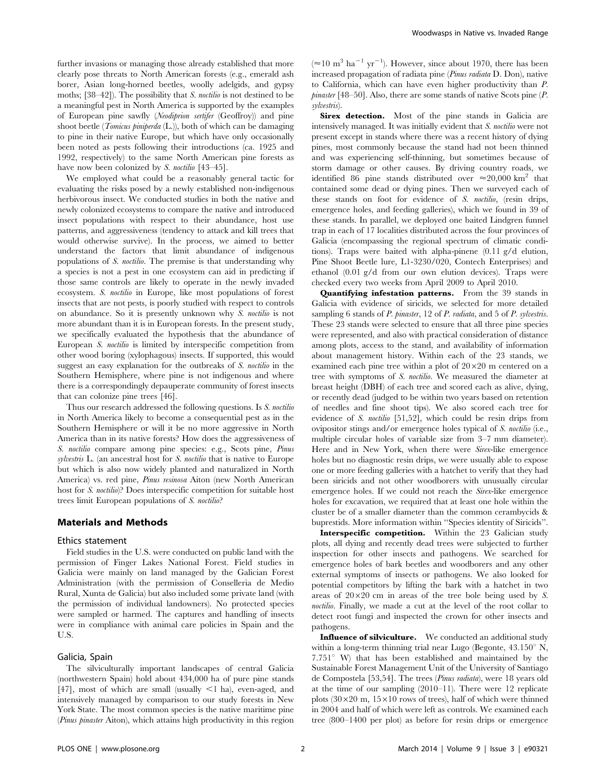further invasions or managing those already established that more clearly pose threats to North American forests (e.g., emerald ash borer, Asian long-horned beetles, woolly adelgids, and gypsy moths; [38–42]). The possibility that *S. noctilio* is not destined to be a meaningful pest in North America is supported by the examples of European pine sawfly (Neodiprion sertifer (Geoffroy)) and pine shoot beetle (*Tomicus piniperda*  $(L)$ ), both of which can be damaging to pine in their native Europe, but which have only occasionally been noted as pests following their introductions (ca. 1925 and 1992, respectively) to the same North American pine forests as have now been colonized by S. noctilio [43-45].

We employed what could be a reasonably general tactic for evaluating the risks posed by a newly established non-indigenous herbivorous insect. We conducted studies in both the native and newly colonized ecosystems to compare the native and introduced insect populations with respect to their abundance, host use patterns, and aggressiveness (tendency to attack and kill trees that would otherwise survive). In the process, we aimed to better understand the factors that limit abundance of indigenous populations of S. noctilio. The premise is that understanding why a species is not a pest in one ecosystem can aid in predicting if those same controls are likely to operate in the newly invaded ecosystem. S. *noctilio* in Europe, like most populations of forest insects that are not pests, is poorly studied with respect to controls on abundance. So it is presently unknown why S. noctilio is not more abundant than it is in European forests. In the present study, we specifically evaluated the hypothesis that the abundance of European S. noctilio is limited by interspecific competition from other wood boring (xylophagous) insects. If supported, this would suggest an easy explanation for the outbreaks of S. noctilio in the Southern Hemisphere, where pine is not indigenous and where there is a correspondingly depauperate community of forest insects that can colonize pine trees [46].

Thus our research addressed the following questions. Is S. noctilio in North America likely to become a consequential pest as in the Southern Hemisphere or will it be no more aggressive in North America than in its native forests? How does the aggressiveness of S. noctilio compare among pine species: e.g., Scots pine, Pinus sylvestris L. (an ancestral host for S. noctilio that is native to Europe but which is also now widely planted and naturalized in North America) vs. red pine, Pinus resinosa Aiton (new North American host for S. noctilio)? Does interspecific competition for suitable host trees limit European populations of S. noctilio?

#### Materials and Methods

#### Ethics statement

Field studies in the U.S. were conducted on public land with the permission of Finger Lakes National Forest. Field studies in Galicia were mainly on land managed by the Galician Forest Administration (with the permission of Conselleria de Medio Rural, Xunta de Galicia) but also included some private land (with the permission of individual landowners). No protected species were sampled or harmed. The captures and handling of insects were in compliance with animal care policies in Spain and the U.S.

#### Galicia, Spain

The silviculturally important landscapes of central Galicia (northwestern Spain) hold about 434,000 ha of pure pine stands [47], most of which are small (usually  $\leq 1$  ha), even-aged, and intensively managed by comparison to our study forests in New York State. The most common species is the native maritime pine (Pinus pinaster Aiton), which attains high productivity in this region

 $(\approx 10 \text{ m}^3 \text{ ha}^{-1} \text{ yr}^{-1})$ . However, since about 1970, there has been increased propagation of radiata pine (Pinus radiata D. Don), native to California, which can have even higher productivity than P. pinaster [48–50]. Also, there are some stands of native Scots pine  $(P$ . sylvestris).

Sirex detection. Most of the pine stands in Galicia are intensively managed. It was initially evident that S. noctilio were not present except in stands where there was a recent history of dying pines, most commonly because the stand had not been thinned and was experiencing self-thinning, but sometimes because of storm damage or other causes. By driving country roads, we identified 86 pine stands distributed over  $\approx 20,000$  km<sup>2</sup> that contained some dead or dying pines. Then we surveyed each of these stands on foot for evidence of S. noctilio, (resin drips, emergence holes, and feeding galleries), which we found in 39 of these stands. In parallel, we deployed one baited Lindgren funnel trap in each of 17 localities distributed across the four provinces of Galicia (encompassing the regional spectrum of climatic conditions). Traps were baited with alpha-pinene (0.11 g/d elution, Pine Shoot Beetle lure, L1-3230/020, Contech Enterprises) and ethanol (0.01 g/d from our own elution devices). Traps were checked every two weeks from April 2009 to April 2010.

Quantifying infestation patterns. From the 39 stands in Galicia with evidence of siricids, we selected for more detailed sampling 6 stands of  $P$ . pinaster, 12 of  $P$ . radiata, and 5 of  $P$ . sylvestris. These 23 stands were selected to ensure that all three pine species were represented, and also with practical consideration of distance among plots, access to the stand, and availability of information about management history. Within each of the 23 stands, we examined each pine tree within a plot of  $20 \times 20$  m centered on a tree with symptoms of S. noctilio. We measured the diameter at breast height (DBH) of each tree and scored each as alive, dying, or recently dead (judged to be within two years based on retention of needles and fine shoot tips). We also scored each tree for evidence of S. *noctilio* [51,52], which could be resin drips from ovipositor stings and/or emergence holes typical of S. noctilio (i.e., multiple circular holes of variable size from 3–7 mm diameter). Here and in New York, when there were Sirex-like emergence holes but no diagnostic resin drips, we were usually able to expose one or more feeding galleries with a hatchet to verify that they had been siricids and not other woodborers with unusually circular emergence holes. If we could not reach the Sirex-like emergence holes for excavation, we required that at least one hole within the cluster be of a smaller diameter than the common cerambycids & buprestids. More information within ''Species identity of Siricids''.

Interspecific competition. Within the 23 Galician study plots, all dying and recently dead trees were subjected to further inspection for other insects and pathogens. We searched for emergence holes of bark beetles and woodborers and any other external symptoms of insects or pathogens. We also looked for potential competitors by lifting the bark with a hatchet in two areas of  $20 \times 20$  cm in areas of the tree bole being used by S. noctilio. Finally, we made a cut at the level of the root collar to detect root fungi and inspected the crown for other insects and pathogens.

Influence of silviculture. We conducted an additional study within a long-term thinning trial near Lugo (Begonte,  $43.150^{\circ}$  N,  $7.751°$  W) that has been established and maintained by the Sustainable Forest Management Unit of the University of Santiago de Compostela [53,54]. The trees (Pinus radiata), were 18 years old at the time of our sampling (2010–11). There were 12 replicate plots  $(30\times20 \text{ m}, 15\times10 \text{ rows of trees})$ , half of which were thinned in 2004 and half of which were left as controls. We examined each tree (800–1400 per plot) as before for resin drips or emergence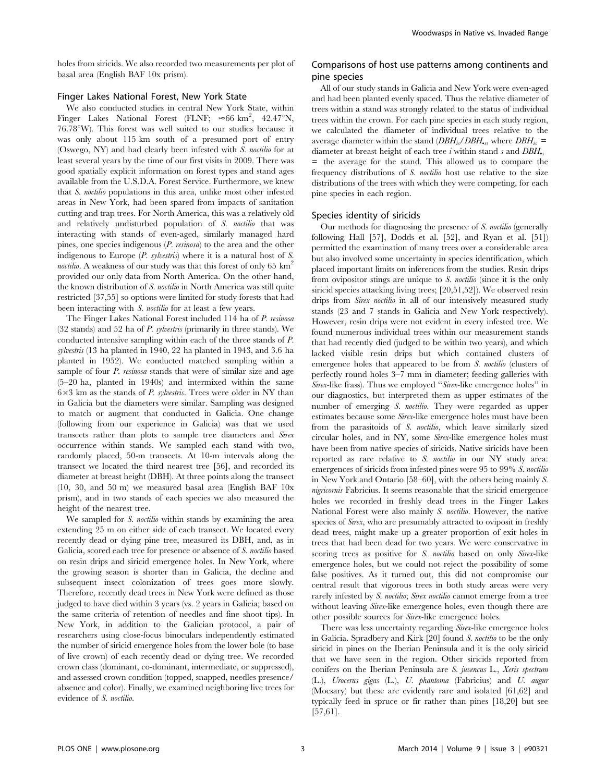holes from siricids. We also recorded two measurements per plot of basal area (English BAF 10x prism).

#### Finger Lakes National Forest, New York State

We also conducted studies in central New York State, within Finger Lakes National Forest (FLNF;  $\approx 66 \text{ km}^2$ , 42.47°N,  $76.78^{\circ}$ W). This forest was well suited to our studies because it was only about 115 km south of a presumed port of entry (Oswego, NY) and had clearly been infested with S. noctilio for at least several years by the time of our first visits in 2009. There was good spatially explicit information on forest types and stand ages available from the U.S.D.A. Forest Service. Furthermore, we knew that S. noctilio populations in this area, unlike most other infested areas in New York, had been spared from impacts of sanitation cutting and trap trees. For North America, this was a relatively old and relatively undisturbed population of S. noctilio that was interacting with stands of even-aged, similarly managed hard pines, one species indigenous (P. resinosa) to the area and the other indigenous to Europe  $(P, sylvestris)$  where it is a natural host of S. *noctilio.* A weakness of our study was that this forest of only 65  $km^2$ provided our only data from North America. On the other hand, the known distribution of S. noctilio in North America was still quite restricted [37,55] so options were limited for study forests that had been interacting with S. noctilio for at least a few years.

The Finger Lakes National Forest included 114 ha of P. resinosa (32 stands) and 52 ha of P. sylvestris (primarily in three stands). We conducted intensive sampling within each of the three stands of P. sylvestris (13 ha planted in 1940, 22 ha planted in 1943, and 3.6 ha planted in 1952). We conducted matched sampling within a sample of four  $P$ . resinosa stands that were of similar size and age (5–20 ha, planted in 1940s) and intermixed within the same  $6\times3$  km as the stands of *P. sylvestris*. Trees were older in NY than in Galicia but the diameters were similar. Sampling was designed to match or augment that conducted in Galicia. One change (following from our experience in Galicia) was that we used transects rather than plots to sample tree diameters and Sirex occurrence within stands. We sampled each stand with two, randomly placed, 50-m transects. At 10-m intervals along the transect we located the third nearest tree [56], and recorded its diameter at breast height (DBH). At three points along the transect  $(10, 30,$  and  $50 \text{ m})$  we measured basal area (English BAF  $10x$ ) prism), and in two stands of each species we also measured the height of the nearest tree.

We sampled for S. *noctilio* within stands by examining the area extending 25 m on either side of each transect. We located every recently dead or dying pine tree, measured its DBH, and, as in Galicia, scored each tree for presence or absence of S. noctilio based on resin drips and siricid emergence holes. In New York, where the growing season is shorter than in Galicia, the decline and subsequent insect colonization of trees goes more slowly. Therefore, recently dead trees in New York were defined as those judged to have died within 3 years (vs. 2 years in Galicia; based on the same criteria of retention of needles and fine shoot tips). In New York, in addition to the Galician protocol, a pair of researchers using close-focus binoculars independently estimated the number of siricid emergence holes from the lower bole (to base of live crown) of each recently dead or dying tree. We recorded crown class (dominant, co-dominant, intermediate, or suppressed), and assessed crown condition (topped, snapped, needles presence/ absence and color). Finally, we examined neighboring live trees for evidence of S. noctilio.

## Comparisons of host use patterns among continents and pine species

All of our study stands in Galicia and New York were even-aged and had been planted evenly spaced. Thus the relative diameter of trees within a stand was strongly related to the status of individual trees within the crown. For each pine species in each study region, we calculated the diameter of individual trees relative to the average diameter within the stand  $(DBH<sub>is</sub>/DBH<sub>ss</sub>)$ , where  $DBH<sub>is</sub> =$ diameter at breast height of each tree i within stand s and  $DBH_{\rm{ss}}$ = the average for the stand. This allowed us to compare the frequency distributions of S. noctilio host use relative to the size distributions of the trees with which they were competing, for each pine species in each region.

#### Species identity of siricids

Our methods for diagnosing the presence of S. noctilio (generally following Hall [57], Dodds et al. [52], and Ryan et al. [51]) permitted the examination of many trees over a considerable area but also involved some uncertainty in species identification, which placed important limits on inferences from the studies. Resin drips from ovipositor stings are unique to S. noctilio (since it is the only siricid species attacking living trees; [20,51,52]). We observed resin drips from Sirex noctilio in all of our intensively measured study stands (23 and 7 stands in Galicia and New York respectively). However, resin drips were not evident in every infested tree. We found numerous individual trees within our measurement stands that had recently died (judged to be within two years), and which lacked visible resin drips but which contained clusters of emergence holes that appeared to be from S. *noctilio* (clusters of perfectly round holes 3–7 mm in diameter; feeding galleries with Sirex-like frass). Thus we employed ''Sirex-like emergence holes'' in our diagnostics, but interpreted them as upper estimates of the number of emerging S. *noctilio*. They were regarded as upper estimates because some Sirex-like emergence holes must have been from the parasitoids of S. noctilio, which leave similarly sized circular holes, and in NY, some Sirex-like emergence holes must have been from native species of siricids. Native siricids have been reported as rare relative to S. *noctilio* in our NY study area: emergences of siricids from infested pines were 95 to 99% S. noctilio in New York and Ontario [58–60], with the others being mainly S. nigricornis Fabricius. It seems reasonable that the siricid emergence holes we recorded in freshly dead trees in the Finger Lakes National Forest were also mainly S. noctilio. However, the native species of Sirex, who are presumably attracted to oviposit in freshly dead trees, might make up a greater proportion of exit holes in trees that had been dead for two years. We were conservative in scoring trees as positive for S. noctilio based on only Sirex-like emergence holes, but we could not reject the possibility of some false positives. As it turned out, this did not compromise our central result that vigorous trees in both study areas were very rarely infested by S. noctilio; Sirex noctilio cannot emerge from a tree without leaving *Sirex*-like emergence holes, even though there are other possible sources for Sirex-like emergence holes.

There was less uncertainty regarding Sirex-like emergence holes in Galicia. Spradbery and Kirk [20] found S. noctilio to be the only siricid in pines on the Iberian Peninsula and it is the only siricid that we have seen in the region. Other siricids reported from conifers on the Iberian Peninsula are S. juvencus L., Xeris spectrum (L.), Urocerus gigas (L.), U. phantoma (Fabricius) and U. augur (Mocsary) but these are evidently rare and isolated [61,62] and typically feed in spruce or fir rather than pines [18,20] but see [57,61].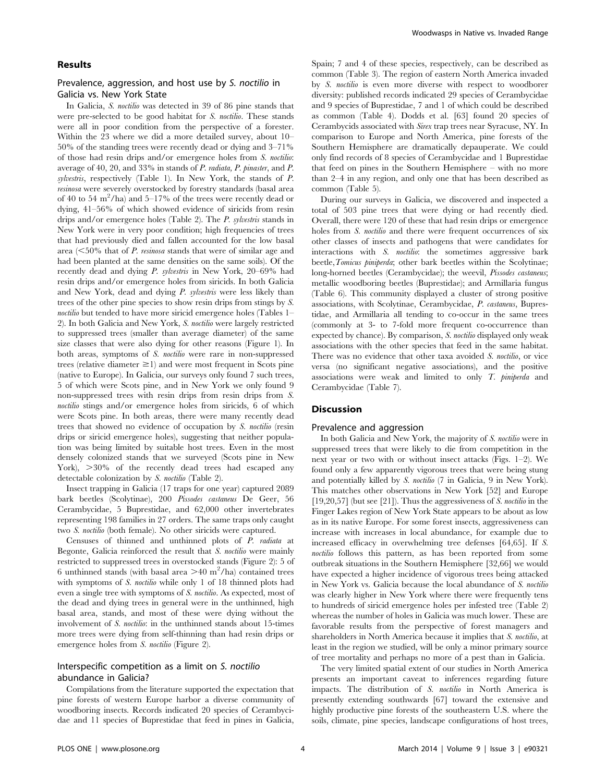#### Results

#### Prevalence, aggression, and host use by S. noctilio in Galicia vs. New York State

In Galicia, S. noctilio was detected in 39 of 86 pine stands that were pre-selected to be good habitat for S. *noctilio*. These stands were all in poor condition from the perspective of a forester. Within the 23 where we did a more detailed survey, about 10– 50% of the standing trees were recently dead or dying and 3–71% of those had resin drips and/or emergence holes from S. noctilio: average of 40, 20, and 33% in stands of P. radiata, P. pinaster, and P. sylvestris, respectively (Table 1). In New York, the stands of P. resinosa were severely overstocked by forestry standards (basal area of 40 to 54  $\mathrm{m}^2/\mathrm{ha}$ ) and 5–17% of the trees were recently dead or dying, 41–56% of which showed evidence of siricids from resin drips and/or emergence holes (Table 2). The P. sylvestris stands in New York were in very poor condition; high frequencies of trees that had previously died and fallen accounted for the low basal area  $\approx 50\%$  that of P. resinosa stands that were of similar age and had been planted at the same densities on the same soils). Of the recently dead and dying P. sylvestris in New York, 20–69% had resin drips and/or emergence holes from siricids. In both Galicia and New York, dead and dying P. sylvestris were less likely than trees of the other pine species to show resin drips from stings by S. noctilio but tended to have more siricid emergence holes (Tables 1– 2). In both Galicia and New York, S. noctilio were largely restricted to suppressed trees (smaller than average diameter) of the same size classes that were also dying for other reasons (Figure 1). In both areas, symptoms of S. noctilio were rare in non-suppressed trees (relative diameter  $\geq$ 1) and were most frequent in Scots pine (native to Europe). In Galicia, our surveys only found 7 such trees, 5 of which were Scots pine, and in New York we only found 9 non-suppressed trees with resin drips from resin drips from S. noctilio stings and/or emergence holes from siricids, 6 of which were Scots pine. In both areas, there were many recently dead trees that showed no evidence of occupation by S. noctilio (resin drips or siricid emergence holes), suggesting that neither population was being limited by suitable host trees. Even in the most densely colonized stands that we surveyed (Scots pine in New York),  $>30\%$  of the recently dead trees had escaped any detectable colonization by S. noctilio (Table 2).

Insect trapping in Galicia (17 traps for one year) captured 2089 bark beetles (Scolytinae), 200 Pissodes castaneus De Geer, 56 Cerambycidae, 5 Buprestidae, and 62,000 other invertebrates representing 198 families in 27 orders. The same traps only caught two S. noctilio (both female). No other siricids were captured.

Censuses of thinned and unthinned plots of P. radiata at Begonte, Galicia reinforced the result that S. noctilio were mainly restricted to suppressed trees in overstocked stands (Figure 2): 5 of 6 unthinned stands (with basal area  $>$  40 m<sup>2</sup>/ha) contained trees with symptoms of S. noctilio while only 1 of 18 thinned plots had even a single tree with symptoms of S. noctilio. As expected, most of the dead and dying trees in general were in the unthinned, high basal area, stands, and most of these were dying without the involvement of S. noctilio: in the unthinned stands about 15-times more trees were dying from self-thinning than had resin drips or emergence holes from S. noctilio (Figure 2).

### Interspecific competition as a limit on S. noctilio abundance in Galicia?

Compilations from the literature supported the expectation that pine forests of western Europe harbor a diverse community of woodboring insects. Records indicated 20 species of Cerambycidae and 11 species of Buprestidae that feed in pines in Galicia,

Spain; 7 and 4 of these species, respectively, can be described as common (Table 3). The region of eastern North America invaded by S. noctilio is even more diverse with respect to woodborer diversity: published records indicated 29 species of Cerambycidae and 9 species of Buprestidae, 7 and 1 of which could be described as common (Table 4). Dodds et al. [63] found 20 species of Cerambycids associated with Sirex trap trees near Syracuse, NY. In comparison to Europe and North America, pine forests of the Southern Hemisphere are dramatically depauperate. We could only find records of 8 species of Cerambycidae and 1 Buprestidae that feed on pines in the Southern Hemisphere – with no more than 2–4 in any region, and only one that has been described as common (Table 5).

During our surveys in Galicia, we discovered and inspected a total of 503 pine trees that were dying or had recently died. Overall, there were 120 of these that had resin drips or emergence holes from S. *noctilio* and there were frequent occurrences of six other classes of insects and pathogens that were candidates for interactions with S. *noctilio*: the sometimes aggressive bark beetle,Tomicus piniperda; other bark beetles within the Scolytinae; long-horned beetles (Cerambycidae); the weevil, Pissodes castaneus; metallic woodboring beetles (Buprestidae); and Armillaria fungus (Table 6). This community displayed a cluster of strong positive associations, with Scolytinae, Cerambycidae, P. castaneus, Buprestidae, and Armillaria all tending to co-occur in the same trees (commonly at 3- to 7-fold more frequent co-occurrence than expected by chance). By comparison, S. noctilio displayed only weak associations with the other species that feed in the same habitat. There was no evidence that other taxa avoided S. noctilio, or vice versa (no significant negative associations), and the positive associations were weak and limited to only T. piniperda and Cerambycidae (Table 7).

#### Discussion

#### Prevalence and aggression

In both Galicia and New York, the majority of S. noctilio were in suppressed trees that were likely to die from competition in the next year or two with or without insect attacks (Figs. 1–2). We found only a few apparently vigorous trees that were being stung and potentially killed by S. noctilio (7 in Galicia, 9 in New York). This matches other observations in New York [52] and Europe [19,20,57] (but see [21]). Thus the aggressiveness of S. noctilio in the Finger Lakes region of New York State appears to be about as low as in its native Europe. For some forest insects, aggressiveness can increase with increases in local abundance, for example due to increased efficacy in overwhelming tree defenses [64,65]. If S. noctilio follows this pattern, as has been reported from some outbreak situations in the Southern Hemisphere [32,66] we would have expected a higher incidence of vigorous trees being attacked in New York vs. Galicia because the local abundance of S. noctilio was clearly higher in New York where there were frequently tens to hundreds of siricid emergence holes per infested tree (Table 2) whereas the number of holes in Galicia was much lower. These are favorable results from the perspective of forest managers and shareholders in North America because it implies that S. noctilio, at least in the region we studied, will be only a minor primary source of tree mortality and perhaps no more of a pest than in Galicia.

The very limited spatial extent of our studies in North America presents an important caveat to inferences regarding future impacts. The distribution of S. noctilio in North America is presently extending southwards [67] toward the extensive and highly productive pine forests of the southeastern U.S. where the soils, climate, pine species, landscape configurations of host trees,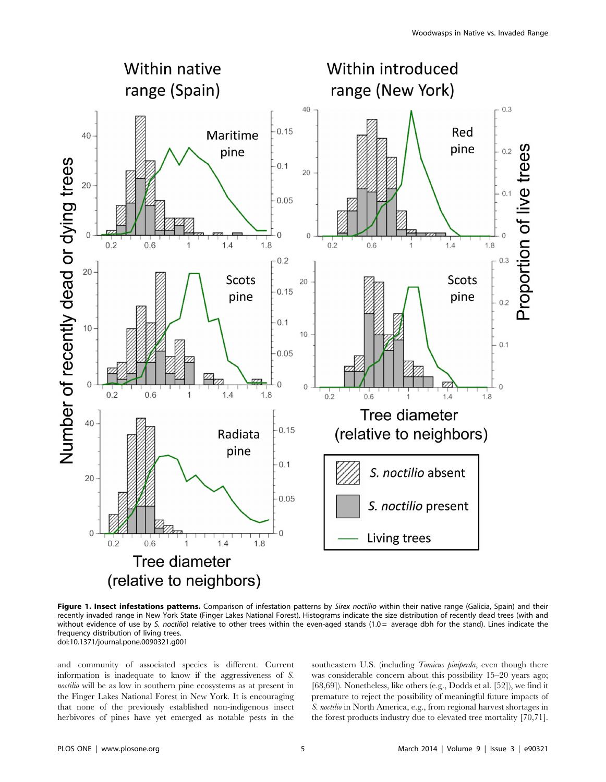

Figure 1. Insect infestations patterns. Comparison of infestation patterns by Sirex noctilio within their native range (Galicia, Spain) and their recently invaded range in New York State (Finger Lakes National Forest). Histograms indicate the size distribution of recently dead trees (with and without evidence of use by S. noctilio) relative to other trees within the even-aged stands (1.0 = average dbh for the stand). Lines indicate the frequency distribution of living trees. doi:10.1371/journal.pone.0090321.g001

and community of associated species is different. Current information is inadequate to know if the aggressiveness of S. noctilio will be as low in southern pine ecosystems as at present in the Finger Lakes National Forest in New York. It is encouraging that none of the previously established non-indigenous insect herbivores of pines have yet emerged as notable pests in the southeastern U.S. (including *Tomicus piniperda*, even though there was considerable concern about this possibility 15–20 years ago; [68,69]). Nonetheless, like others (e.g., Dodds et al. [52]), we find it premature to reject the possibility of meaningful future impacts of S. noctilio in North America, e.g., from regional harvest shortages in the forest products industry due to elevated tree mortality [70,71].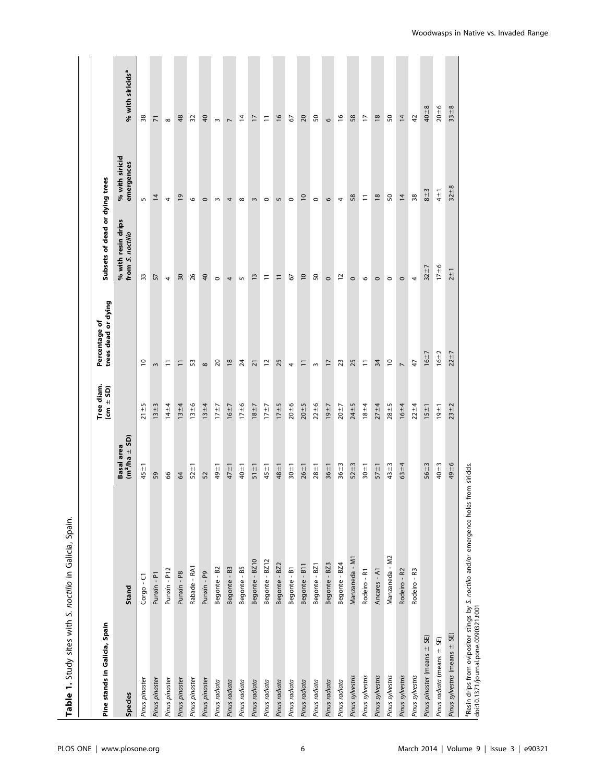| Pine stands in Galicia, Spain  |                                                                                                                                 |                                    | Tree diam.<br>$\text{(cm} \pm \text{SD})$ | trees dead or dying<br>Percentage of | Subsets of dead or dying trees         |                              |                              |
|--------------------------------|---------------------------------------------------------------------------------------------------------------------------------|------------------------------------|-------------------------------------------|--------------------------------------|----------------------------------------|------------------------------|------------------------------|
| Species                        | Stand                                                                                                                           | $(m^2)$ ha $\pm$ SD)<br>Basal area |                                           |                                      | % with resin drips<br>from S. noctilio | % with siricid<br>emergences | % with siricids <sup>a</sup> |
| Pinus pinaster                 | $Corgo - C1$                                                                                                                    | $45 \pm 1$                         | $21 \pm 5$                                | $\overline{c}$                       | 33                                     | S                            | $38$                         |
| Pinus pinaster                 | Punxín - P1                                                                                                                     | 59                                 | $13 + 3$                                  | 3                                    | 57                                     | $\overline{4}$               | $\overline{7}$               |
| Pinus pinaster                 | Punxín - P12                                                                                                                    | 8                                  | $14 + 4$                                  | Ξ                                    | 4                                      | 4                            | ${}^{\circ}$                 |
| Pinus pinaster                 | Punxín - P8                                                                                                                     | $\mathcal{L}$                      | $13 + 4$                                  | $\equiv$                             | 30                                     | $\overline{0}$               | 48                           |
| Pinus pinaster                 | Rabade - RA1                                                                                                                    | $52 + 1$                           | $13 + 6$                                  | 53                                   | 26                                     | $\circ$                      | 32                           |
| Pinus pinaster                 | Punxín - P9                                                                                                                     | 52                                 | $13 + 4$                                  | $\infty$                             | 40                                     | $\circ$                      | $\overline{40}$              |
| Pinus radiata                  | Begonte - B2                                                                                                                    | 49±1                               | $17 + 7$                                  | 20                                   | $\circ$                                | $\sim$                       | ω                            |
| Pinus radiata                  | Begonte - B3                                                                                                                    | $47 \pm 1$                         | $16 + 7$                                  | $\overline{8}$                       | 4                                      | 4                            | $\overline{a}$               |
| Pinus radiata                  | Begonte - B5                                                                                                                    | 40±1                               | $17 - 6$                                  | $\overline{24}$                      | $\overline{5}$                         | $\infty$                     | $\overline{4}$               |
| Pinus radiata                  | Begonte - BZ10                                                                                                                  | $51 \pm 1$                         | $18 + 7$                                  | 21                                   | $\frac{3}{2}$                          | 3                            | $\overline{1}$               |
| Pinus radiata                  | Begonte - BZ12                                                                                                                  | $45 \pm 1$                         | $17 + 7$                                  | $\overline{c}$                       | Ξ                                      | $\circ$                      | $\Xi$                        |
| Pinus radiata                  | Begonte - BZ2                                                                                                                   | $48 + 1$                           | $17 - 5$                                  | 25                                   | $\equiv$                               | 5                            | $\frac{6}{2}$                |
| Pinus radiata                  | Begonte - B1                                                                                                                    | $30 + 1$                           | $20 - 6$                                  | 4                                    | 67                                     | $\circ$                      | 67                           |
| Pinus radiata                  | Begonte - B11                                                                                                                   | $26 + 1$                           | $20 + 5$                                  | $\Xi$                                | $\overline{0}$                         | $\tilde{=}$                  | 20                           |
| Pinus radiata                  | Begonte - BZ1                                                                                                                   | $28 + 1$                           | $22 + 6$                                  | $\sim$                               | 50                                     | $\circ$                      | 50                           |
| Pinus radiata                  | Begonte - BZ3                                                                                                                   | $36 + 1$                           | $19 + 7$                                  | 17                                   | $\circ$                                | 6                            | 9                            |
| Pinus radiata                  | Begonte - BZ4                                                                                                                   | $36 + 3$                           | $20 + 7$                                  | 23                                   | $\overline{c}$                         | 4                            | $\frac{8}{1}$                |
| Pinus sylvestris               | Manzaneda - M1                                                                                                                  | $52 + 3$                           | $24 + 5$                                  | 25                                   | $\circ$                                | 58                           | 58                           |
| Pinus sylvestris               | Rodeiro - R1                                                                                                                    | $30 + 1$                           | $18 + 4$                                  | Ξ                                    | 6                                      | $\Xi$                        | $\overline{1}$               |
| Pinus sylvestris               | Ancares - A1                                                                                                                    | $57 + 1$                           | $27 + 4$                                  | 34                                   | $\circ$                                | $\frac{8}{2}$                | $\frac{8}{2}$                |
| Pinus sylvestris               | Manzaneda - M2                                                                                                                  | $43 + 3$                           | $28 + 5$                                  | $\overline{c}$                       | $\circ$                                | 50                           | 50                           |
| Pinus sylvestris               | Rodeiro - R2                                                                                                                    | $63 + 4$                           | $16 + 4$                                  | $\overline{ }$                       | $\circ$                                | $\overline{4}$               | $\overline{1}$               |
| Pinus sylvestris               | Rodeiro - R3                                                                                                                    |                                    | $22 + 4$                                  | $\overline{4}$                       | 4                                      | 38                           | 42                           |
| Pinus pinaster (means ± SE)    |                                                                                                                                 | $56 + 3$                           | $15 + 1$                                  | $16 + 7$                             | $32 + 7$                               | $8 + 3$                      | $40 + 8$                     |
| Pinus radiata (means $\pm$ SE) |                                                                                                                                 | $40 + 3$                           | $19 + 1$                                  | $16 + 2$                             | $17 = 6$                               | $4 \pm 1$                    | $20 - 6$                     |
| Pinus sylvestris (means ± SE)  |                                                                                                                                 | 49±6                               | $23 + 2$                                  | $22 + 7$                             | $2 + 1$                                | $32 + 8$                     | $33 + 8$                     |
|                                | <sup>a</sup> Resin drips from ovipositor stings by S. noctilio and/or emergence holes<br> doi:10.1371/journal.pone.0090321.t001 | from siricids.                     |                                           |                                      |                                        |                              |                              |

Table 1. Study sites with S. noctilio in Galicia, Spain.

Table 1. Study sites with S. noctilio in Galicia, Spain.

PLOS ONE | www.plosone.org | e90321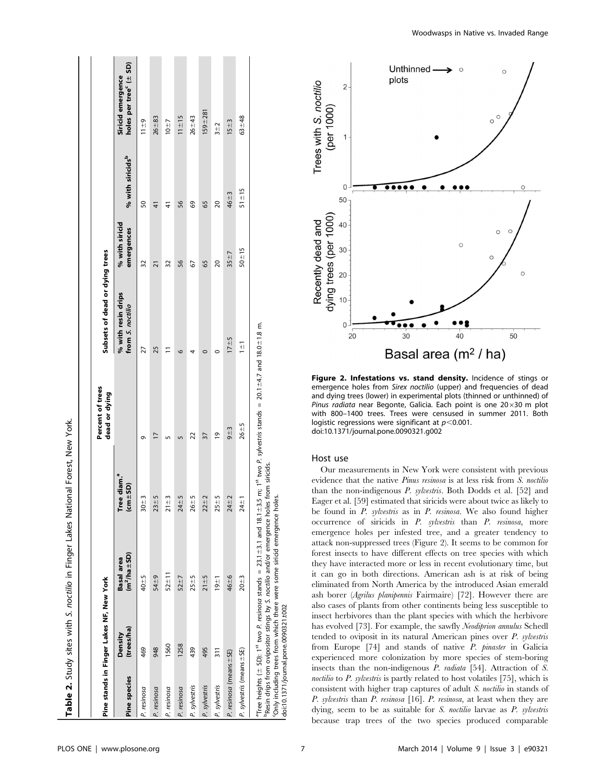|                           | Pine stands in Finger Lakes NF, New York |                                                                                                                                                                    |                                         | Percent of trees<br>dead or dying                                                                                                                                       | Subsets of dead or dying trees         |                              |                  |                                                          |
|---------------------------|------------------------------------------|--------------------------------------------------------------------------------------------------------------------------------------------------------------------|-----------------------------------------|-------------------------------------------------------------------------------------------------------------------------------------------------------------------------|----------------------------------------|------------------------------|------------------|----------------------------------------------------------|
| Pine species              | (trees/ha)<br>Density                    | $(m2/ha \pm SD)$<br>Basal area                                                                                                                                     | Tree diam. <sup>a</sup><br>$(m \pm SD)$ |                                                                                                                                                                         | % with resin drips<br>from S. noctilio | % with siricid<br>emergences | % with siricidsb | holes per tree <sup>c</sup> ( ± SD)<br>Siricid emergence |
| P. resinosa               | 469                                      | $40 - 5$                                                                                                                                                           | $30 + 3$                                | σ                                                                                                                                                                       | 27                                     | 32                           | 50               | $11 + 9$                                                 |
| P. resinosa               | 948                                      | 54+9                                                                                                                                                               | $23 + 5$                                | 17                                                                                                                                                                      | 25                                     | 21                           | $\frac{4}{3}$    | $26 - 83$                                                |
| P. resinosa               | 1560                                     | $52 + 11$                                                                                                                                                          | $21 + 3$                                |                                                                                                                                                                         |                                        | 32                           | ₹                | $10 + 7$                                                 |
| P. resinosa               | 1258                                     | $52 + 7$                                                                                                                                                           | $24 + 5$                                |                                                                                                                                                                         | ١c                                     | 56                           | 56               | $11 + 15$                                                |
| P. sylvestris             | 439                                      | $25 + 5$                                                                                                                                                           | $26 +$                                  | 22                                                                                                                                                                      |                                        | 67                           | S9               | $26 + 43$                                                |
| P. sylvestris             | 495                                      | $21 + 5$                                                                                                                                                           | $22 + 2$                                | 37                                                                                                                                                                      | 0                                      | 65                           | 65               | $159 + 281$                                              |
| P. sylvestris             | $\frac{311}{2}$                          | $19 + 1$                                                                                                                                                           | $25 + 5$                                | $\overline{9}$                                                                                                                                                          | c                                      | $\overline{20}$              | $\overline{20}$  | $3 + 2$                                                  |
| P. resinosa (means ± SE)  |                                          | $46 - 6$                                                                                                                                                           | $24 + 2$                                | $9 + 3$                                                                                                                                                                 | $17 + 5$                               | $35 + 7$                     | $46 + 3$         | $15 + 3$                                                 |
| P. sylvestris (means ±SE) |                                          | $20 + 3$                                                                                                                                                           | $24 \pm 1$                              | $26 + 5$                                                                                                                                                                | $\overline{1}$ $\pm$ 1                 | $50 + 15$                    | $51 \pm 15$      | $63 + 48$                                                |
|                           |                                          | 'Only including trees from which there were some siricid emergence holes.<br><sup>D</sup> Resin drips from ovipositor stings by S. noctilio and/or emergence holes | from siricids.                          | <sup>a</sup> Tree heights (± SD): 1 <sup>st</sup> two P. resinosa stands = 23.1±3.1 and 18.1±3.5 m; 1 <sup>st</sup> two P. sylvestris stands = 20.1±4.7 and 18.0±1.8 m. |                                        |                              |                  |                                                          |



 $\circ$ 

 $\circ$ 

 $\circ$ 

d

10  $\mathbf 0$  $40$ 20 30 50 Basal area (m<sup>2</sup> / ha)

Figure 2. Infestations vs. stand density. Incidence of stings or emergence holes from Sirex noctilio (upper) and frequencies of dead and dying trees (lower) in experimental plots (thinned or unthinned) of Pinus radiata near Begonte, Galicia. Each point is one  $20\times30$  m plot with 800–1400 trees. Trees were censused in summer 2011. Both logistic regressions were significant at  $p<0.001$ . doi:10.1371/journal.pone.0090321.g002

#### Host use

Trees with S. noctilio

 $(per 1000)$ 

dying trees (per 1000) Recently dead and

 $\mathbf 0$ 50

40

30

20

Our measurements in New York were consistent with previous evidence that the native Pinus resinosa is at less risk from S. noctilio than the non-indigenous  $P$ . sylvestris. Both Dodds et al. [52] and Eager et al. [59] estimated that siricids were about twice as likely to be found in P. sylvestris as in P. resinosa. We also found higher occurrence of siricids in P. sylvestris than P. resinosa, more emergence holes per infested tree, and a greater tendency to attack non-suppressed trees (Figure 2). It seems to be common for forest insects to have different effects on tree species with which they have interacted more or less in recent evolutionary time, but it can go in both directions. American ash is at risk of being eliminated from North America by the introduced Asian emerald ash borer (Agrilus planipennis Fairmaire) [72]. However there are also cases of plants from other continents being less susceptible to insect herbivores than the plant species with which the herbivore has evolved [73]. For example, the sawfly Neodiprion annulus Schedl tended to oviposit in its natural American pines over  $P$ . sylvestris from Europe [74] and stands of native P. pinaster in Galicia experienced more colonization by more species of stem-boring insects than the non-indigenous P. radiata [54]. Attraction of S. noctilio to  $P$ . sylvestris is partly related to host volatiles [75], which is consistent with higher trap captures of adult S. noctilio in stands of P. sylvestris than P. resinosa [16]. P. resinosa, at least when they are dying, seem to be as suitable for S. noctilio larvae as P. sylvestris because trap trees of the two species produced comparable

doi:10.1371/journal.pone.0090321.t002

doi:10.1371/journal.pone.0090321.t002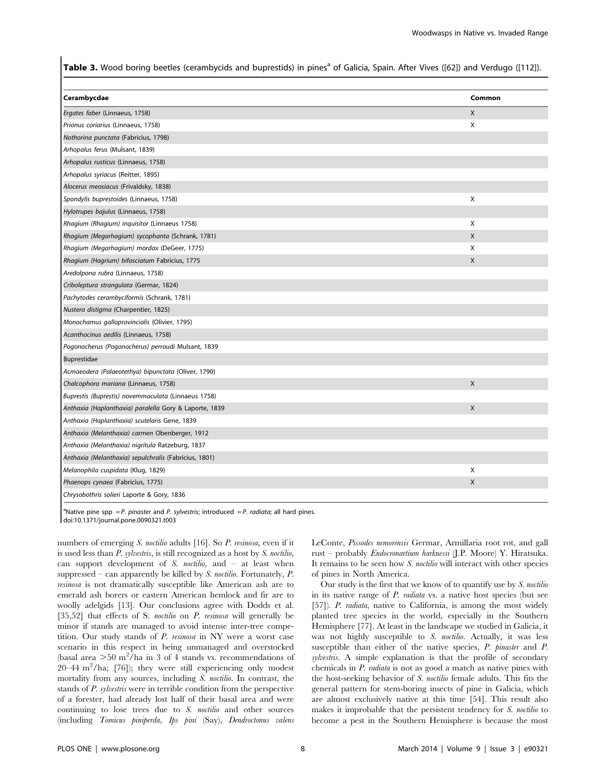Table 3. Wood boring beetles (cerambycids and buprestids) in pines<sup>a</sup> of Galicia, Spain. After Vives ([62]) and Verdugo ([112]).

| Cerambycdae                                            | Common |
|--------------------------------------------------------|--------|
| Ergates faber (Linnaeus, 1758)                         | X      |
| Prionus coriarius (Linnaeus, 1758)                     | Χ      |
| Nothorina punctata (Fabricius, 1798)                   |        |
| Arhopalus ferus (Mulsant, 1839)                        |        |
| Arhopalus rusticus (Linnaeus, 1758)                    |        |
| Arhopalus syriacus (Reitter, 1895)                     |        |
| Alocerus meosiacus (Frivaldsky, 1838)                  |        |
| Spondylis buprestoides (Linnaeus, 1758)                | X      |
| Hylotrupes bajulus (Linnaeus, 1758)                    |        |
| Rhagium (Rhagium) inquisitor (Linnaeus 1758)           | X      |
| Rhagium (Megarhagium) sycophanta (Schrank, 1781)       | X      |
| Rhagium (Megarhagium) mordax (DeGeer, 1775)            | X      |
| Rhagium (Hagrium) bifasciatum Fabricius, 1775          | X      |
| Aredolpona rubra (Linnaeus, 1758)                      |        |
| Criboleptura strangulata (Germar, 1824)                |        |
| Pachytodes cerambyciformis (Schrank, 1781)             |        |
| Nustera distigma (Charpentier, 1825)                   |        |
| Monochamus galloprovincialis (Olivier, 1795)           |        |
| Acanthocinus aedilis (Linnaeus, 1758)                  |        |
| Pogonocherus (Pogonocherus) perroudi Mulsant, 1839     |        |
| <b>Buprestidae</b>                                     |        |
| Acmaeodera (Palaeotethya) bipunctata (Oliver, 1790)    |        |
| Chalcophora mariana (Linnaeus, 1758)                   | X      |
| Buprestis (Buprestis) novemmaculata (Linnaeus 1758)    |        |
| Anthaxia (Haplanthaxia) paralella Gory & Laporte, 1839 | X      |
| Anthaxia (Haplanthaxia) scutelaris Gene, 1839          |        |
| Anthaxia (Melanthaxia) carmen Obenberger, 1912         |        |
| Anthaxia (Melanthaxia) nigritula Ratzeburg, 1837       |        |
| Anthaxia (Melanthaxia) sepulchralis (Fabricius, 1801)  |        |
| Melanophila cuspidata (Klug, 1829)                     | X      |
| Phaenops cynaea (Fabricius, 1775)                      | X      |
| Chrysobothris solieri Laporte & Gory, 1836             |        |

<sup>a</sup>Native pine spp = P. pinaster and P. sylvestris; introduced = P. radiata; all hard pines. doi:10.1371/journal.pone.0090321.t003

numbers of emerging S. noctilio adults [16]. So P. resinosa, even if it is used less than P. sylvestris, is still recognized as a host by S. noctilio, can support development of  $S$ . *noctilio*, and  $-$  at least when suppressed – can apparently be killed by  $S$ . *noctilio*. Fortunately,  $P$ . resinosa is not dramatically susceptible like American ash are to emerald ash borers or eastern American hemlock and fir are to woolly adelgids [13]. Our conclusions agree with Dodds et al. [35,52] that effects of S. noctilio on P. resinosa will generally be minor if stands are managed to avoid intense inter-tree competition. Our study stands of P. resinosa in NY were a worst case scenario in this respect in being unmanaged and overstocked (basal area  $>50 \text{ m}^2/\text{ha}$  in 3 of 4 stands vs. recommendations of  $20-44$  m<sup>2</sup>/ha; [76]); they were still experiencing only modest mortality from any sources, including S. noctilio. In contrast, the stands of P. sylvestris were in terrible condition from the perspective of a forester, had already lost half of their basal area and were continuing to lose trees due to S. noctilio and other sources (including Tomicus piniperda, Ips pini (Say), Dendroctonus valens LeConte, Pissodes nemorensis Germar, Armillaria root rot, and gall rust – probably Endocronartium harknessi (J.P. Moore) Y. Hiratsuka. It remains to be seen how S. *noctilio* will interact with other species of pines in North America.

Our study is the first that we know of to quantify use by S. noctilio in its native range of P. radiata vs. a native host species (but see [57]). P. radiata, native to California, is among the most widely planted tree species in the world, especially in the Southern Hemisphere [77]. At least in the landscape we studied in Galicia, it was not highly susceptible to S. noctilio. Actually, it was less susceptible than either of the native species, P. pinaster and P. sylvestris. A simple explanation is that the profile of secondary chemicals in P. radiata is not as good a match as native pines with the host-seeking behavior of S. noctilio female adults. This fits the general pattern for stem-boring insects of pine in Galicia, which are almost exclusively native at this time [54]. This result also makes it improbable that the persistent tendency for S. noctilio to become a pest in the Southern Hemisphere is because the most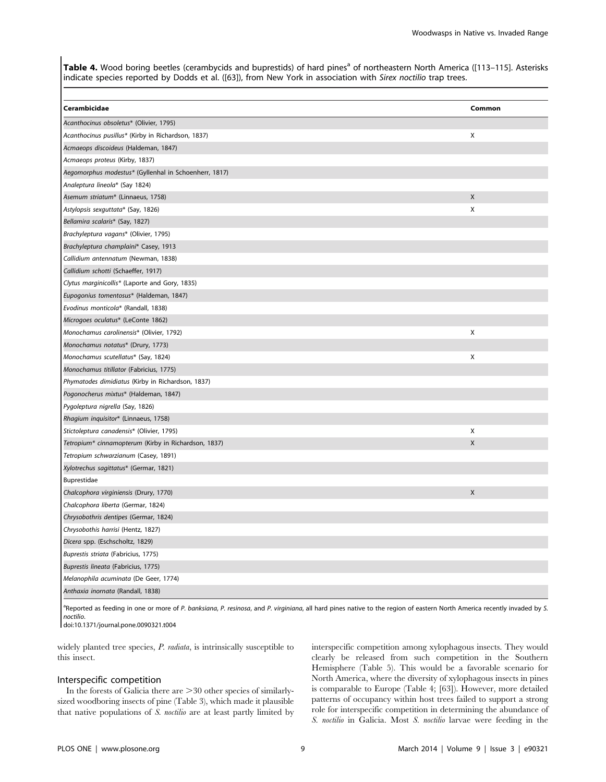Table 4. Wood boring beetles (cerambycids and buprestids) of hard pines<sup>a</sup> of northeastern North America ([113–115]. Asterisks indicate species reported by Dodds et al. ([63]), from New York in association with Sirex noctilio trap trees.

| Cerambicidae                                          | Common      |
|-------------------------------------------------------|-------------|
| Acanthocinus obsoletus* (Olivier, 1795)               |             |
| Acanthocinus pusillus* (Kirby in Richardson, 1837)    | X           |
| Acmaeops discoideus (Haldeman, 1847)                  |             |
| Acmaeops proteus (Kirby, 1837)                        |             |
| Aegomorphus modestus* (Gyllenhal in Schoenherr, 1817) |             |
| Analeptura lineola* (Say 1824)                        |             |
| Asemum striatum* (Linnaeus, 1758)                     | $\mathsf X$ |
| Astylopsis sexguttata* (Say, 1826)                    | X           |
| Bellamira scalaris* (Say, 1827)                       |             |
| Brachyleptura vagans* (Olivier, 1795)                 |             |
| Brachyleptura champlaini* Casey, 1913                 |             |
| Callidium antennatum (Newman, 1838)                   |             |
| Callidium schotti (Schaeffer, 1917)                   |             |
| Clytus marginicollis* (Laporte and Gory, 1835)        |             |
| Eupogonius tomentosus* (Haldeman, 1847)               |             |
| Evodinus monticola* (Randall, 1838)                   |             |
| Microgoes oculatus* (LeConte 1862)                    |             |
| Monochamus carolinensis* (Olivier, 1792)              | X           |
| Monochamus notatus* (Drury, 1773)                     |             |
| Monochamus scutellatus* (Say, 1824)                   | X           |
| Monochamus titillator (Fabricius, 1775)               |             |
| Phymatodes dimidiatus (Kirby in Richardson, 1837)     |             |
| Pogonocherus mixtus* (Haldeman, 1847)                 |             |
| Pygoleptura nigrella (Say, 1826)                      |             |
| Rhagium inquisitor* (Linnaeus, 1758)                  |             |
| Stictoleptura canadensis* (Olivier, 1795)             | X           |
| Tetropium* cinnamopterum (Kirby in Richardson, 1837)  | $\mathsf X$ |
| Tetropium schwarzianum (Casey, 1891)                  |             |
| Xylotrechus sagittatus* (Germar, 1821)                |             |
| Buprestidae                                           |             |
| Chalcophora virginiensis (Drury, 1770)                | Χ           |
| Chalcophora liberta (Germar, 1824)                    |             |
| Chrysobothris dentipes (Germar, 1824)                 |             |
| Chrysobothis harrisi (Hentz, 1827)                    |             |
| Dicera spp. (Eschscholtz, 1829)                       |             |
| Buprestis striata (Fabricius, 1775)                   |             |
| Buprestis lineata (Fabricius, 1775)                   |             |
| Melanophila acuminata (De Geer, 1774)                 |             |
| Anthaxia inornata (Randall, 1838)                     |             |

<sup>a</sup>Reported as feeding in one or more of P. banksiana, P. resinosa, and P. virginiana, all hard pines native to the region of eastern North America recently invaded by S. noctilio.

doi:10.1371/journal.pone.0090321.t004

widely planted tree species, P. radiata, is intrinsically susceptible to this insect.

#### Interspecific competition

In the forests of Galicia there are  $>30$  other species of similarlysized woodboring insects of pine (Table 3), which made it plausible that native populations of S. noctilio are at least partly limited by interspecific competition among xylophagous insects. They would clearly be released from such competition in the Southern Hemisphere (Table 5). This would be a favorable scenario for North America, where the diversity of xylophagous insects in pines is comparable to Europe (Table 4; [63]). However, more detailed patterns of occupancy within host trees failed to support a strong role for interspecific competition in determining the abundance of S. noctilio in Galicia. Most S. noctilio larvae were feeding in the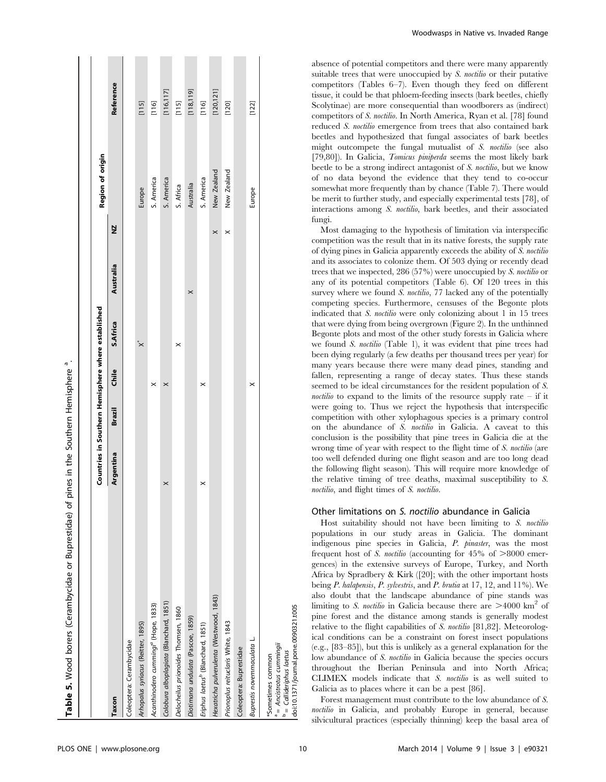|                                                                                                                     |           |        |          | Countries in Southern Hemisphere where established |           |                         | Region of origin |            |
|---------------------------------------------------------------------------------------------------------------------|-----------|--------|----------|----------------------------------------------------|-----------|-------------------------|------------------|------------|
| Taxon                                                                                                               | Argentina | Brazil | Chile    | <b>S.Africa</b>                                    | Australia | $\overline{\mathbf{z}}$ |                  | Reference  |
| Coleoptera: Cerambycidae                                                                                            |           |        |          |                                                    |           |                         |                  |            |
| Arhopalus syriacus (Reitter, 1895)                                                                                  |           |        |          | $\mathbf{x}^*$                                     |           |                         | Europe           | [115]      |
| Acanthinodero cummingi <sup>a</sup> (Hope, 1833)                                                                    |           |        | ×        |                                                    |           |                         | S. America       | [116]      |
| Colobura alboplagiata (Blanchard, 1851)                                                                             | $\times$  |        | $\times$ |                                                    |           |                         | S. America       | [116, 117] |
| Delocheilus prionoides Thomsen, 1860                                                                                |           |        |          | $\times$                                           |           |                         | S. Africa        | [115]      |
| Diotimana undulata (Pascoe, 1859)                                                                                   |           |        |          |                                                    | $\times$  |                         | Australia        | [118, 119] |
| Eriphus laetus <sup>b</sup> (Blanchard, 1851)                                                                       | ×         |        | ×        |                                                    |           |                         | S. America       | [116]      |
| Hexatricha pulverulenta (Westwood, 1843)                                                                            |           |        |          |                                                    |           | $\times$                | New Zealand      | [120, 121] |
| Prionoplus reituclaris White, 1843                                                                                  |           |        |          |                                                    |           | $\times$                | New Zealand      | [120]      |
| Coleoptera: Buprestidae                                                                                             |           |        |          |                                                    |           |                         |                  |            |
| Buprestis novemmaculata L.                                                                                          |           |        | $\times$ |                                                    |           |                         | Europe           | [122]      |
| doi:10.1371/journal.pone.0090321.t005<br>- Ancistrotus cummingii<br>$P =$ Callideriphus laetus<br>*Sometimes common |           |        |          |                                                    |           |                         |                  |            |

absence of potential competitors and there were many apparently suitable trees that were unoccupied by S. *noctilio* or their putative competitors (Tables 6–7). Even though they feed on different tissue, it could be that phloem-feeding insects (bark beetles, chiefly Scolytinae) are more consequential than woodborers as (indirect) competitors of S. noctilio. In North America, Ryan et al. [78] found reduced S. noctilio emergence from trees that also contained bark beetles and hypothesized that fungal associates of bark beetles might outcompete the fungal mutualist of S. noctilio (see also [79,80]). In Galicia, *Tomicus piniperda* seems the most likely bark beetle to be a strong indirect antagonist of S. noctilio, but we know of no data beyond the evidence that they tend to co-occur somewhat more frequently than by chance (Table 7). There would be merit to further study, and especially experimental tests [78], of interactions among S. noctilio, bark beetles, and their associated fungi.

Most damaging to the hypothesis of limitation via interspecific competition was the result that in its native forests, the supply rate of dying pines in Galicia apparently exceeds the ability of S. noctilio and its associates to colonize them. Of 503 dying or recently dead trees that we inspected, 286 (57%) were unoccupied by S. noctilio or any of its potential competitors (Table 6). Of 120 trees in this survey where we found S. noctilio, 77 lacked any of the potentially competing species. Furthermore, censuses of the Begonte plots indicated that S. noctilio were only colonizing about 1 in 15 trees that were dying from being overgrown (Figure 2). In the unthinned Begonte plots and most of the other study forests in Galicia where we found S. *noctilio* (Table 1), it was evident that pine trees had been dying regularly (a few deaths per thousand trees per year) for many years because there were many dead pines, standing and fallen, representing a range of decay states. Thus these stands seemed to be ideal circumstances for the resident population of S. *noctilio* to expand to the limits of the resource supply rate  $-$  if it were going to. Thus we reject the hypothesis that interspecific competition with other xylophagous species is a primary control on the abundance of S. noctilio in Galicia. A caveat to this conclusion is the possibility that pine trees in Galicia die at the wrong time of year with respect to the flight time of S. noctilio (are too well defended during one flight season and are too long dead the following flight season). This will require more knowledge of the relative timing of tree deaths, maximal susceptibility to S. noctilio, and flight times of S. noctilio.

#### Other limitations on S. noctilio abundance in Galicia

Host suitability should not have been limiting to S. noctilio populations in our study areas in Galicia. The dominant indigenous pine species in Galicia, P. pinaster, was the most frequent host of S. *noctilio* (accounting for  $45\%$  of  $>8000$  emergences) in the extensive surveys of Europe, Turkey, and North Africa by Spradbery & Kirk ([20]; with the other important hosts being P. halapensis, P. sylvestris, and P. brutia at 17, 12, and 11%). We also doubt that the landscape abundance of pine stands was limiting to S. *noctilio* in Galicia because there are  $>4000$  km<sup>2</sup> of pine forest and the distance among stands is generally modest relative to the flight capabilities of S. noctilio [81,82]. Meteorological conditions can be a constraint on forest insect populations (e.g., [83–85]), but this is unlikely as a general explanation for the low abundance of S. noctilio in Galicia because the species occurs throughout the Iberian Peninsula and into North Africa; CLIMEX models indicate that S. noctilio is as well suited to Galicia as to places where it can be a pest [86].

Forest management must contribute to the low abundance of S. noctilio in Galicia, and probably Europe in general, because silvicultural practices (especially thinning) keep the basal area of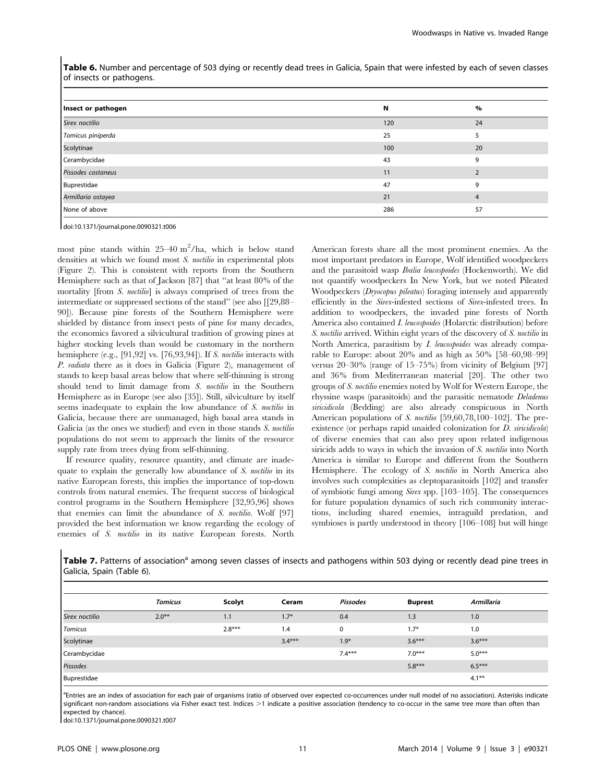Table 6. Number and percentage of 503 dying or recently dead trees in Galicia, Spain that were infested by each of seven classes of insects or pathogens.

| Insect or pathogen | N   | %             |
|--------------------|-----|---------------|
| Sirex noctilio     | 120 | 24            |
| Tomicus piniperda  | 25  |               |
| Scolytinae         | 100 | 20            |
| Cerambycidae       | 43  | 9             |
| Pissodes castaneus | 11  | $\mathcal{P}$ |
| Buprestidae        | 47  | 9             |
| Armillaria ostayea | 21  | 4             |
| None of above      | 286 | 57            |

doi:10.1371/journal.pone.0090321.t006

most pine stands within  $25-40$  m<sup>2</sup>/ha, which is below stand densities at which we found most S. noctilio in experimental plots (Figure 2). This is consistent with reports from the Southern Hemisphere such as that of Jackson [87] that ''at least 80% of the mortality [from S. noctilio] is always comprised of trees from the intermediate or suppressed sections of the stand'' (see also [[29,88– 90]). Because pine forests of the Southern Hemisphere were shielded by distance from insect pests of pine for many decades, the economics favored a silvicultural tradition of growing pines at higher stocking levels than would be customary in the northern hemisphere (e.g., [91,92] vs. [76,93,94]). If *S. noctilio* interacts with P. radiata there as it does in Galicia (Figure 2), management of stands to keep basal areas below that where self-thinning is strong should tend to limit damage from S. *noctilio* in the Southern Hemisphere as in Europe (see also [35]). Still, silviculture by itself seems inadequate to explain the low abundance of S. noctilio in Galicia, because there are unmanaged, high basal area stands in Galicia (as the ones we studied) and even in those stands S. noctilio populations do not seem to approach the limits of the resource supply rate from trees dying from self-thinning.

If resource quality, resource quantity, and climate are inadequate to explain the generally low abundance of S. noctilio in its native European forests, this implies the importance of top-down controls from natural enemies. The frequent success of biological control programs in the Southern Hemisphere [32,95,96] shows that enemies can limit the abundance of S. noctilio. Wolf [97] provided the best information we know regarding the ecology of enemies of S. noctilio in its native European forests. North

American forests share all the most prominent enemies. As the most important predators in Europe, Wolf identified woodpeckers and the parasitoid wasp Ibalia leucospoides (Hockenworth). We did not quantify woodpeckers In New York, but we noted Pileated Woodpeckers (Dryocopus pileatus) foraging intensely and apparently efficiently in the Sirex-infested sections of Sirex-infested trees. In addition to woodpeckers, the invaded pine forests of North America also contained *I. leucospoides* (Holarctic distribution) before S. noctilio arrived. Within eight years of the discovery of S. noctilio in North America, parasitism by *I. leucospoides* was already comparable to Europe: about 20% and as high as 50% [58–60,98–99] versus 20–30% (range of 15–75%) from vicinity of Belgium [97] and 36% from Mediterranean material [20]. The other two groups of S. noctilio enemies noted by Wolf for Western Europe, the rhyssine wasps (parasitoids) and the parasitic nematode Deladenus siricidicola (Bedding) are also already conspicuous in North American populations of S. *noctilio* [59,60,78,100–102]. The preexistence (or perhaps rapid unaided colonization for *D. sincidicola*) of diverse enemies that can also prey upon related indigenous siricids adds to ways in which the invasion of S. noctilio into North America is similar to Europe and different from the Southern Hemisphere. The ecology of S. noctilio in North America also involves such complexities as cleptoparasitoids [102] and transfer of symbiotic fungi among Sirex spp. [103–105]. The consequences for future population dynamics of such rich community interactions, including shared enemies, intraguild predation, and symbioses is partly understood in theory [106–108] but will hinge

Table 7. Patterns of association<sup>a</sup> among seven classes of insects and pathogens within 503 dying or recently dead pine trees in Galicia, Spain (Table 6).

|                | <b>Tomicus</b> | Scolyt   | Ceram    | Pissodes | <b>Buprest</b> | <b>Armillaria</b> |
|----------------|----------------|----------|----------|----------|----------------|-------------------|
| Sirex noctilio | $2.0***$       | 1.1      | $1.7*$   | 0.4      | 1.3            | 1.0               |
| Tomicus        |                | $2.8***$ | 1.4      | $\Omega$ | $1.7*$         | 1.0               |
| Scolytinae     |                |          | $3.4***$ | $1.9*$   | $3.6***$       | $3.6***$          |
| Cerambycidae   |                |          |          | $7.4***$ | $7.0***$       | $5.0***$          |
| Pissodes       |                |          |          |          | $5.8***$       | $6.5***$          |
| Buprestidae    |                |          |          |          |                | $4.1***$          |

<sup>a</sup>Entries are an index of association for each pair of organisms (ratio of observed over expected co-occurrences under null model of no association). Asterisks indicate significant non-random associations via Fisher exact test. Indices >1 indicate a positive association (tendency to co-occur in the same tree more than often than expected by chance).

doi:10.1371/journal.pone.0090321.t007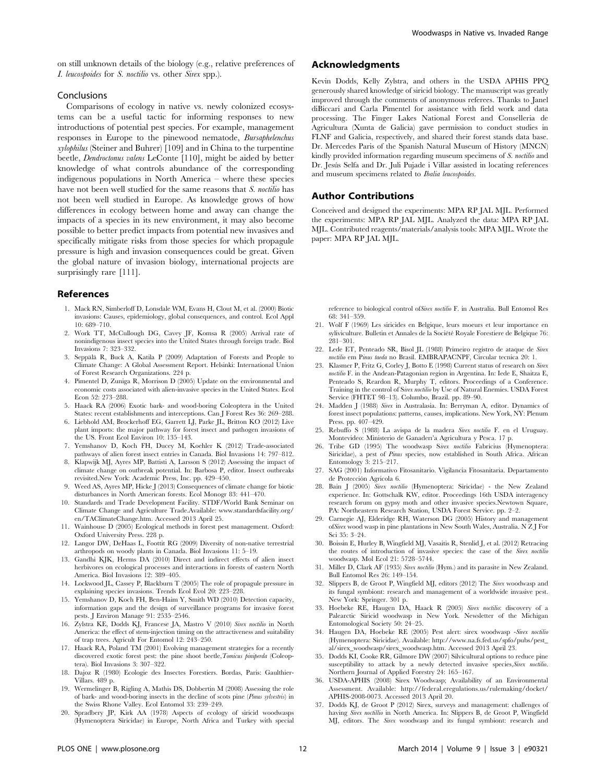#### Conclusions

Comparisons of ecology in native vs. newly colonized ecosystems can be a useful tactic for informing responses to new introductions of potential pest species. For example, management responses in Europe to the pinewood nematode, Bursaphelenchus xylophilus (Steiner and Buhrer) [109] and in China to the turpentine beetle, Dendroctonus valens LeConte [110], might be aided by better knowledge of what controls abundance of the corresponding indigenous populations in North America – where these species have not been well studied for the same reasons that S. noctilio has not been well studied in Europe. As knowledge grows of how differences in ecology between home and away can change the impacts of a species in its new environment, it may also become possible to better predict impacts from potential new invasives and specifically mitigate risks from those species for which propagule pressure is high and invasion consequences could be great. Given the global nature of invasion biology, international projects are surprisingly rare [111].

#### References

- 1. Mack RN, Simberloff D, Lonsdale WM, Evans H, Clout M, et al. (2000) Biotic invasions: Causes, epidemiology, global consequences, and control. Ecol Appl 10: 689–710.
- 2. Work TT, McCullough DG, Cavey JF, Komsa R (2005) Arrival rate of nonindigenous insect species into the United States through foreign trade. Biol Invasions 7: 323–332.
- 3. Seppala R, Buck A, Katila P (2009) Adaptation of Forests and People to Climate Change: A Global Assessment Report. Helsinki: International Union of Forest Research Organizations. 224 p.
- 4. Pimentel D, Zuniga R, Morrison D (2005) Update on the environmental and economic costs associated with alien-invasive species in the United States. Ecol Econ 52: 273–288.
- 5. Haack RA (2006) Exotic bark- and wood-boring Coleoptera in the United States: recent establishments and interceptions. Can J Forest Res 36: 269–288.
- 6. Liebhold AM, Brockerhoff EG, Garrett LJ, Parke JL, Britton KO (2012) Live plant imports: the major pathway for forest insect and pathogen invasions of the US. Front Ecol Environ 10: 135–143.
- 7. Yemshanov D, Koch FH, Ducey M, Koehler K (2012) Trade-associated pathways of alien forest insect entries in Canada. Biol Invasions 14: 797–812.
- 8. Klapwijk MJ, Ayres MP, Battisti A, Larsson S (2012) Assessing the impact of climate change on outbreak potential. In: Barbosa P, editor. Insect outbreaks revisited.New York: Academic Press, Inc. pp. 429–450.
- 9. Weed AS, Ayres MP, Hicke J (2013) Consequences of climate change for biotic disturbances in North American forests. Ecol Monogr 83: 441–470.
- 10. Standards and Trade Development Facility. STDF/World Bank Seminar on Climate Change and Agriculture Trade.Available: www.standardsfacility.org/ en/TAClimateChange.htm. Accessed 2013 April 25.
- 11. Wainhouse D (2005) Ecological methods in forest pest management. Oxford: Oxford University Press. 228 p.
- 12. Langor DW, DeHaas L, Foottit RG (2009) Diversity of non-native terrestrial arthropods on woody plants in Canada. Biol Invasions 11: 5–19.
- 13. Gandhi KJK, Herms DA (2010) Direct and indirect effects of alien insect herbivores on ecological processes and interactions in forests of eastern North America. Biol Invasions 12: 389–405.
- 14. Lockwood JL, Cassey P, Blackburn T (2005) The role of propagule pressure in explaining species invasions. Trends Ecol Evol 20: 223–228.
- 15. Yemshanov D, Koch FH, Ben-Haim Y, Smith WD (2010) Detection capacity, information gaps and the design of surveillance programs for invasive forest pests. J Environ Manage 91: 2535–2546.
- 16. Zylstra KE, Dodds KJ, Francese JA, Mastro V (2010) Sirex noctilio in North America: the effect of stem-injection timing on the attractiveness and suitability of trap trees. Agricult For Entomol 12: 243–250.
- 17. Haack RA, Poland TM (2001) Evolving management strategies for a recently discovered exotic forest pest: the pine shoot beetle, Tomicus piniperda (Coleoptera). Biol Invasions 3: 307–322.
- 18. Dajoz R (1980) Ecologie des Insectes Forestiers. Bordas, Paris: Gaulthier-Villars. 489 p.
- 19. Wermelinger B, Rigling A, Mathis DS, Dobbertin M (2008) Assessing the role of bark- and wood-boring insects in the decline of scots pine (Pinus sylvestris) in the Swiss Rhone Valley. Ecol Entomol 33: 239–249.
- 20. Spradbery JP, Kirk AA (1978) Aspects of ecology of siricid woodwasps (Hymenoptera Siricidae) in Europe, North Africa and Turkey with special

#### Acknowledgments

Kevin Dodds, Kelly Zylstra, and others in the USDA APHIS PPQ generously shared knowledge of siricid biology. The manuscript was greatly improved through the comments of anonymous referees. Thanks to Janel diBiccari and Carla Pimentel for assistance with field work and data processing. The Finger Lakes National Forest and Conselleria de Agricultura (Xunta de Galicia) gave permission to conduct studies in FLNF and Galicia, respectively, and shared their forest stands data base. Dr. Mercedes Paris of the Spanish Natural Museum of History (MNCN) kindly provided information regarding museum specimens of S. noctilio and Dr. Jesús Selfa and Dr. Juli Pujade i Villar assisted in locating references and museum specimens related to Ibalia leucospoides.

#### Author Contributions

Conceived and designed the experiments: MPA RP JAL MJL. Performed the experiments: MPA RP JAL MJL. Analyzed the data: MPA RP JAL MJL. Contributed reagents/materials/analysis tools: MPA MJL. Wrote the paper: MPA RP JAL MJL.

reference to biological control ofSirex noctilio F. in Australia. Bull Entomol Res 68: 341–359.

- 21. Wolf F (1969) Les siricides en Belgique, leurs moeurs et leur importance en syliviculture. Bulletin et Annales de la Société Royale Forestiere de Belgique 76: 281–301.
- 22. Lede ET, Penteado SR, Bisol JL (1988) Primeiro registro de ataque de Sirex noctilio em Pinus taeda no Brasil. EMBRAPACNPF, Circular tecnica 20: 1.
- 23. Klasmer P, Fritz G, Corley J, Botto E (1998) Current status of research on Sirex noctilio F. in the Andean-Patagonian region in Argentina. In: Iede E, Shaitza E, Penteado S, Reardon R, Murphy T, editors. Proceedings of a Conference. Training in the control of Sirex noctilio by Use of Natural Enemies. USDA Forest Service (FHTET 98–13). Columbo, Brazil. pp. 89–90.
- 24. Madden J (1988) Sirex in Australasia. In: Berryman A, editor. Dynamics of forest insect populations: patterns, causes, implications. New York, NY: Plenum Press. pp. 407–429.
- 25. Rebuffo S (1988) La avispa de la madera Sirex noctilio F. en el Uruguay. Montevideo: Ministerio de Ganaderı'a Agricultura y Pesca. 17 p.
- 26. Tribe GD (1995) The woodwasp Sirex noctilio Fabricius (Hymenoptera: Siricidae), a pest of Pinus species, now established in South Africa. African Entomology 3: 215–217.
- 27. SAG (2001) Informativo Fitosanitario. Vigilancia Fitosanitaria. Departamento de Protección Agrícola 6.
- 28. Bain J (2005) Sirex noctilio (Hymenoptera: Siricidae) the New Zealand experience. In: Gottschalk KW, editor. Proceedings 16th USDA interagency research forum on gypsy moth and other invasive species.Newtown Square, PA: Northeastern Research Station, USDA Forest Service. pp. 2–2.
- 29. Carnegie AJ, Elderidge RH, Waterson DG (2005) History and management ofSirex wood wasp in pine plantations in New South Wales, Australia. N Z J For Sci 35: 3–24.
- 30. Boissin E, Hurley B, Wingfield MJ, Vasaitis R, Stenlid J, et al. (2012) Retracing the routes of introduction of invasive species: the case of the Sirex noctilio woodwasp. Mol Ecol 21: 5728–5744.
- 31. Miller D, Clark AF (1935) Sirex noctilio (Hym.) and its parasite in New Zealand. Bull Entomol Res 26: 149–154.
- 32. Slippers B, de Groot P, Wingfield MJ, editors (2012) The Sirex woodwasp and its fungal symbiont: research and management of a worldwide invasive pest. New York: Springer. 301 p.
- 33. Hoebeke RE, Haugen DA, Haack R (2005) Sirex noctilio: discovery of a Palearctic Siricid woodwasp in New York. Newsletter of the Michigan Entomological Society 50: 24–25.
- 34. Haugen DA, Hoebeke RE (2005) Pest alert: sirex woodwasp -Sirex noctilio (Hymenoptera: Siricidae). Available: [http://www.na.fs.fed.us/spfo/pubs/pest\\_](http://www.na.fs.fed.us/spfo/pubs/pest_al/sirex_woodwasp/sirex_woodwasp.htm) [al/sirex\\_woodwasp/sirex\\_woodwasp.htm](http://www.na.fs.fed.us/spfo/pubs/pest_al/sirex_woodwasp/sirex_woodwasp.htm). Accessed 2013 April 23.
- 35. Dodds KI, Cooke RR, Gilmore DW (2007) Silvicultural options to reduce pine susceptibility to attack by a newly detected invasive species, Sirex noctilio. Northern Journal of Applied Forestry 24: 165–167.
- 36. USDA-APHIS (2008) Sirex Woodwasp; Availability of an Environmental Assessment. Available: [http://federal.eregulations.us/rulemaking/docket/](http://federal.eregulations.us/rulemaking/docket/APHIS-2008-0073) [APHIS-2008-0073](http://federal.eregulations.us/rulemaking/docket/APHIS-2008-0073). Accessed 2013 April 20.
- 37. Dodds KJ, de Groot P (2012) Sirex, surveys and management: challenges of having Sirex noctillio in North America. In: Slippers B, de Groot P, Wingfield MJ, editors. The Sirex woodwasp and its fungal symbiont: research and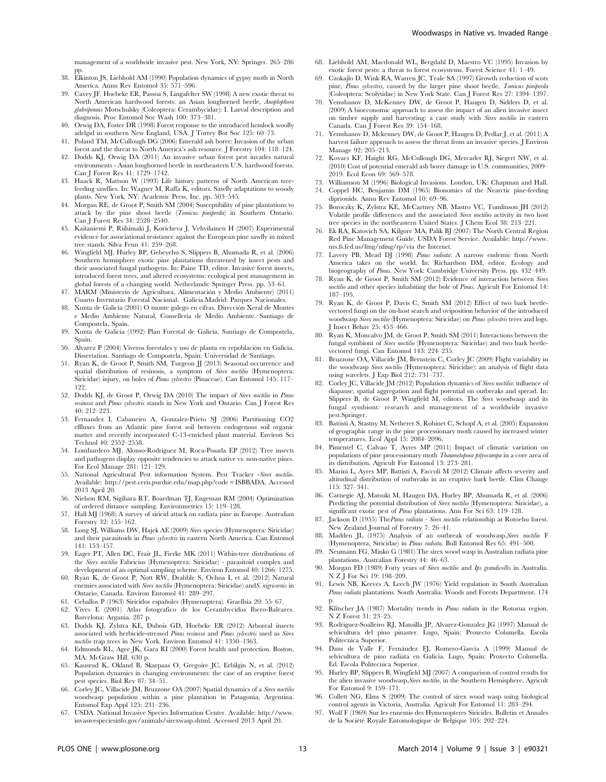- 38. Elkinton JS, Liebhold AM (1990) Population dynamics of gypsy moth in North America. Annu Rev Entomol 35: 571–596.
- 39. Cavey JF, Hoebeke ER, Passoa S, Lingafelter SW (1998) A new exotic threat to North American hardwood forests: an Asian longhorned beetle, Anoplophora glabripennis Motschulsky (Coleoptera: Cerambycidae): I. Larval description and diagnosis. Proc Entomol Soc Wash 100: 373–381.
- 40. Orwig DA, Foster DR (1998) Forest response to the introduced hemlock woolly adelgid in southern New England, USA. J Torrey Bot Soc 125: 60–73.
- 41. Poland TM, McCullough DG (2006) Emerald ash borer: Invasion of the urban forest and the threat to North America's ash resource. J Forestry 104: 118–124.
- 42. Dodds KJ, Orwig DA (2011) An invasive urban forest pest invades natural environments - Asian longhorned beetle in northeastern U.S. hardwood forests. Can J Forest Res 41: 1729–1742.
- 43. Haack R, Mattson W (1993) Life history patterns of North American treefeeding sawflies. In: Wagner M, Raffa K, editors. Sawfly adaptations to woody lants. New York, NY: Academic Press, Inc. pp. 503-545.
- 44. Morgan RE, de Groot P, Smith SM (2004) Susceptibility of pine plantations to attack by the pine shoot beetle (Tomicus piniperda) in Southern Ontario. Can J Forest Res 34: 2528–2540.
- 45. Kaitaniemi P, Riihimaki J, Koricheva J, Vehvilainen H (2007) Experimental evidence for associational resistance against the European pine sawfly in mixed tree stands. Silva Fenn 41: 259–268.
- 46. Wingfield MJ, Hurley BP, Gebeyehu S, Slippers B, Ahumada R, et al. (2006) Southern hemisphere exotic pine plantations threatened by insect pests and their associated fungal pathogens. In: Paine TD, editor. Invasive forest insects, introduced forest trees, and altered ecosystems: ecological pest management in global forests of a changing world. Netherlands: Springer Press. pp. 53–61.
- 47. MARM (Ministerio de Agricultura, Alimentación y Medio Ambiente) (2011) Cuarto Inventario Forestal Nacional. Galicia.Madrid: Parques Nacionales.
- 48. Xunta de Galicia (2001) O monte galego en cifras. Dirección Xeral de Montes e Medio Ambiente Natural, Consellería de Medio Ambiente. Santiago de Compostela, Spain.
- 49. Xunta de Galicia (1992) Plan Forestal de Galicia. Santiago de Compostela, Spain.
- 50. Alvarez P (2004) Viveros forestales y uso de planta en repoblación en Galicia. Dissertation. Santiago de Compostela, Spain: Universidad de Santiago.
- 51. Ryan K, de Groot P, Smith SM, Turgeon JJ (2013) Seasonal occurrence and spatial distribution of resinosis, a symptom of Sirex noctilio (Hymenoptera: Siricidae) injury, on boles of Pinus sylvestris (Pinaceae). Can Entomol 145: 117-122.
- 52. Dodds KJ, de Groot P, Orwig DA (2010) The impact of Sirex noctilio in Pinus resinosa and Pinus sylvestris stands in New York and Ontario. Can J Forest Res 40: 212–223.
- 53. Fernandez I, Cabaneiro A, Gonzalez-Prieto SJ (2006) Partitioning CO2 effluxes from an Atlantic pine forest soil between endogenous soil organic matter and recently incorporated C-13-enriched plant material. Environ Sci Technol 40: 2552–2558.
- 54. Lombardero MJ, Alonso-Rodriguez M, Roca-Posada EP (2012) Tree insects and pathogens display opposite tendencies to attack native vs. non-native pines. For Ecol Manage 281: 121–129.
- 55. National Agricultural Pest information System. Pest Tracker -Sirex noctilio. Available: [http://pest.ceris.purdue.edu/map.php?code = ISBBADA](http://pest.ceris.purdue.edu/map.php?code=ISBBADA). Accessed 2013 April 20.
- 56. Nielson RM, Sigihara RT, Boardman TJ, Engeman RM (2004) Optimization of ordered distance sampling. Environmetrics 15: 119–128.
- 57. Hall MJ (1968) A survey of siricid attack on radiata pine in Europe. Australian Forestry 32: 155–162.
- 58. Long SJ, Williams DW, Hajek AE (2009) Sirex species (Hymenoptera: Siricidae) and their parasitoids in Pinus sylvestris in eastern North America. Can Entomol 141: 153–157.
- 59. Eager PT, Allen DC, Frair JL, Fierke MK (2011) Within-tree distributions of the Sirex noctilio Fabricius (Hymenoptera: Siricidae) - parasitoid complex and development of an optimal sampling scheme. Environ Entomol 40: 1266–1275.
- 60. Ryan K, de Groot P, Nott RW, Drabble S, Ochoa I, et al. (2012) Natural enemies associated with Sirex noctilio (Hymenoptera: Siricidae) andS. nigricornis in Ontario, Canada. Environ Entomol 41: 289–297.
- 61. Ceballos P (1963) Siricidos espan˜oles (Hymenoptera). Graellsia 20: 55–67.
- 62. Vives E (2001) Atlas fotografico de los Cerambycidos Ibero-Baleares.
- Barcelona: Argania. 287 p. 63. Dodds KJ, Zylstra KE, Dubois GD, Hoebeke ER (2012) Arboreal insects
- associated with herbicide-stressed Pinus resinosa and Pinus sylvestris used as Sirex noctilio trap trees in New York. Environ Entomol 41: 1350-1363. 64. Edmonds RL, Agee JK, Gara RI (2000) Forest health and protection. Boston,
- MA: McGraw Hill. 630 p.
- 65. Kausrud K, Okland B, Skarpaas O, Gregoire JC, Erbilgin N, et al. (2012) Population dynamics in changing environments: the case of an eruptive forest pest species. Biol Rev 87: 34–51.
- 66. Corley JC, Villacide JM, Bruzzone OA (2007) Spatial dynamics of a Sirex noctilio woodwasp population within a pine plantation in Patagonia, Argentina. Entomol Exp Appl 125: 231–236.
- 67. USDA. National Invasive Species Information Center. Available: [http://www.](http://www.invasivespeciesinfo.gov/animals/sirexwasp.shtml) [invasivespeciesinfo.gov/animals/sirexwasp.shtml](http://www.invasivespeciesinfo.gov/animals/sirexwasp.shtml). Accessed 2013 April 20.
- 68. Liebhold AM, Macdonald WL, Bergdahl D, Maestro VC (1995) Invasion by exotic forest pests: a threat to forest ecosystems. Forest Science 41: 1–49.
- 69. Czokajlo D, Wink RA, Warren JC, Teale SA (1997) Growth reduction of scots pine, Pinus sylvestris, caused by the larger pine shoot beetle, Tomicus piniperda (Coleoptera: Scolytidae) in New York State. Can J Forest Res 27: 1394–1397.
- 70. Yemshanov D, McKenney DW, de Groot P, Haugen D, Sidders D, et al. (2009) A bioeconomic approach to assess the impact of an alien invasive insect on timber supply and harvesting: a case study with Sirex noctilio in eastern Canada. Can J Forest Res 39: 154–168.
- 71. Yemshanov D, Mckenney DW, de Groot P, Haugen D, Pedlar J, et al. (2011) A harvest failure approach to assess the threat from an invasive species. J Environ Manage 92: 205–213.
- 72. Kovacs KF, Haight RG, McCullough DG, Mercader RJ, Siegert NW, et al. (2010) Cost of potential emerald ash borer damage in U.S. communities, 2009– 2019. Ecol Econ 69: 569–578.
- 73. Williamson M (1996) Biological Invasions. London, UK: Chapman and Hall. 74. Coppel HC, Benjamin DM (1965) Bionomics of the Nearctic pine-feeding diprionids. Annu Rev Entomol 10: 69–96.
- 75. Boroczky K, Zylstra KE, McCartney NB, Mastro VC, Tumlinson JH (2012) Volatile profile differences and the associated Sirex noctilio activity in two host tree species in the northeastern United States. J Chem Ecol 38: 213–221.
- 76. Ek RA, Katovich SA, Kilgore MA, Palik BJ (2007) The North Central Region Red Pine Management Guide. USDA Forest Service. Available: [http://www.](http://www.nrs.fs.fed.us/fmg/nfmg/rp/via) [nrs.fs.fed.us/fmg/nfmg/rp/via](http://www.nrs.fs.fed.us/fmg/nfmg/rp/via) the Internet.
- 77. Lavery PB, Mead DJ (1998) Pinus radiata: A narrow endemic from North America takes on the world. In: Richardson DM, editor. Ecology and biogeography of Pinus. New York: Cambridge University Press. pp. 432-449.
- 78. Ryan K, de Groot P, Smith SM (2012) Evidence of interaction between Sirex noctilio and other species inhabiting the bole of Pinus. Agricult For Entomol 14: 187–195.
- 79. Ryan K, de Groot P, Davis C, Smith SM (2012) Effect of two bark beetlevectored fungi on the on-host search and oviposition behavior of the introduced woodwasp Sirex noctilio (Hymenoptera: Siricidae) on Pinus sylvestris trees and logs. J Insect Behav 25: 453–466.
- 80. Ryan K, Moncalvo JM, de Groot P, Smith SM (2011) Interactions between the fungal symbiont of Sirex noctilio (Hymenoptera: Siricidae) and two bark beetlevectored fungi. Can Entomol 143: 224–235.
- 81. Bruzzone OA, Villacide JM, Bernstein C, Corley JC (2009) Flight variability in the woodwasp Sirex noctilio (Hymenoptera: Siricidae): an analysis of flight data using wavelets. J Exp Biol 212: 731–737.
- 82. Corley JC, Villacide JM (2012) Population dynamics of Sirex noctilio: influence of diapause, spatial aggregation and flight potential on outbreaks and spread. In: Slippers B, de Groot P, Wingfield M, editors. The Sirex woodwasp and its fungal symbiont: research and management of a worldwide invasive pest.Springer.
- 83. Battisti A, Stastny M, Netherer S, Robinet C, Schopf A, et al. (2005) Expansion of geographic range in the pine processionary moth caused by increased winter temperatures. Ecol Appl 15: 2084–2096.
- 84. Pimentel C, Calvao T, Ayres MP (2011) Impact of climatic variation on populations of pine processionary moth Thaumetopoea pityocampa in a core area of its distribution. Agricult For Entomol 13: 273–281.
- 85. Marini L, Ayres MP, Battisti A, Faccoli M (2012) Climate affects severity and altitudinal distribution of outbreaks in an eruptive bark beetle. Clim Change 115: 327–341.
- 86. Carnegie AJ, Matsuki M, Haugen DA, Hurley BP, Ahumada R, et al. (2006) Predicting the potential distribution of Sirex noctilio (Hymenoptera: Siricidae), a significant exotic pest of Pinus plantations. Ann For Sci 63: 119–128.
- 87. Jackson D (1955) ThePinus radiata Sirex noctilio relationship at Rotoehu forest. New Zealand Journal of Forestry 7: 26–41.
- 88. Madden JL (1975) Analysis of an outbreak of woodwasp,Sirex noctilio F (Hymenoptera, Siricidae) in Pinus radiata. Bull Entomol Res 65: 491–500.
- 89. Neumann FG, Minko G (1981) The sirex wood wasp in Australian radiata pine plantations. Australian Forestry 44: 46–63.
- Morgan FD (1989) Forty years of Sirex noctilio and Ips grandicollis in Australia. N Z J For Sci 19: 198–209.
- 91. Lewis NB, Keeves A, Leech JW (1976) Yield regulation in South Australian Pinus radiata plantations. South Australia: Woods and Forests Department. 174 p.
- 92. Klitscher JA (1987) Mortality trends in Pinus radiata in the Rotorua region. N Z Forest 31: 23–25.
- 93. Rodriguez-Soalleiro RJ, Mansilla JP, Alvarez-Gonzalez JG (1997) Manual de selvicultura del pino pinaster. Lugo, Spain: Proxecto Columella. Escola Politecnica Superior.
- 94. Dans de Valle F, Fernández FJ, Romero-García A (1999) Manual de selvicultura de pino radiata en Galicia. Lugo, Spain: Proxecto Columella. Ed. Escola Politecnica Superior.
- 95. Hurley BP, Slippers B, Wingfield MJ (2007) A comparison of control results for the alien invasive woodwasp,Sirex noctilio, in the Southern Hemisphere. Agricult For Entomol 9: 159–171.
- 96. Collett NG, Elms S (2009) The control of sirex wood wasp using biological control agents in Victoria, Australia. Agricult For Entomol 11: 283–294.
- 97. Wolf F (1969) Sur les ennemis des Hymenopteres Siricides. Bulletin et Annales de la Société Royale Entomologique de Belgique 105: 202-224.